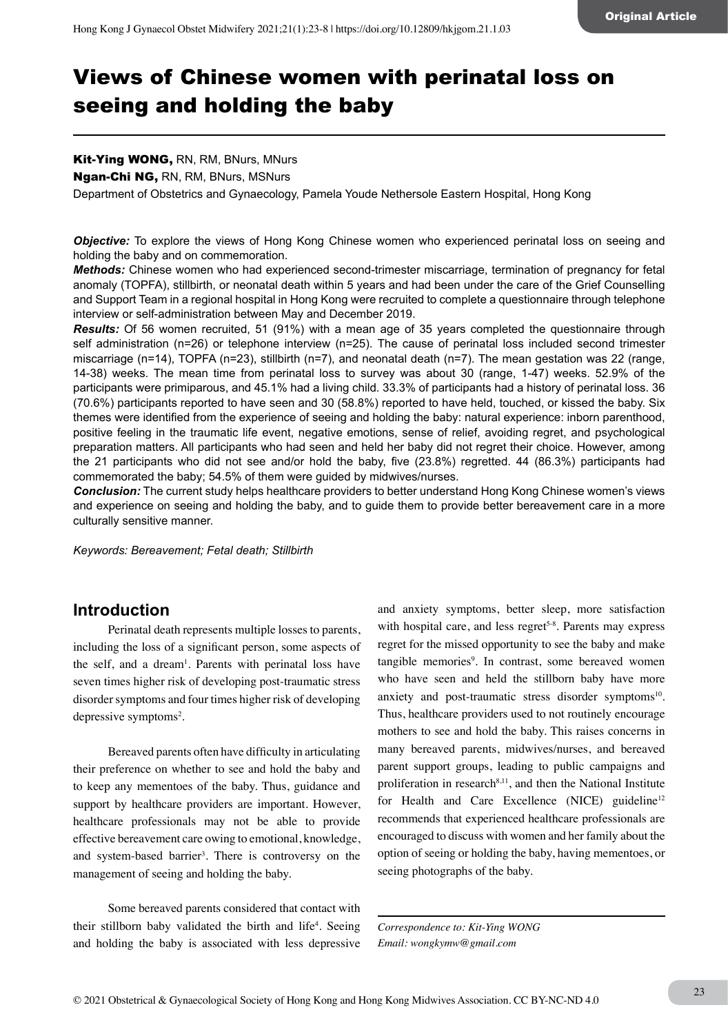# Views of Chinese women with perinatal loss on seeing and holding the baby

# Kit-Ying WONG, RN, RM, BNurs, MNurs

Ngan-Chi NG, RN, RM, BNurs, MSNurs

Department of Obstetrics and Gynaecology, Pamela Youde Nethersole Eastern Hospital, Hong Kong

**Objective:** To explore the views of Hong Kong Chinese women who experienced perinatal loss on seeing and holding the baby and on commemoration.

*Methods:* Chinese women who had experienced second-trimester miscarriage, termination of pregnancy for fetal anomaly (TOPFA), stillbirth, or neonatal death within 5 years and had been under the care of the Grief Counselling and Support Team in a regional hospital in Hong Kong were recruited to complete a questionnaire through telephone interview or self-administration between May and December 2019.

*Results:* Of 56 women recruited, 51 (91%) with a mean age of 35 years completed the questionnaire through self administration (n=26) or telephone interview (n=25). The cause of perinatal loss included second trimester miscarriage (n=14), TOPFA (n=23), stillbirth (n=7), and neonatal death (n=7). The mean gestation was 22 (range, 14-38) weeks. The mean time from perinatal loss to survey was about 30 (range, 1-47) weeks. 52.9% of the participants were primiparous, and 45.1% had a living child. 33.3% of participants had a history of perinatal loss. 36 (70.6%) participants reported to have seen and 30 (58.8%) reported to have held, touched, or kissed the baby. Six themes were identified from the experience of seeing and holding the baby: natural experience: inborn parenthood, positive feeling in the traumatic life event, negative emotions, sense of relief, avoiding regret, and psychological preparation matters. All participants who had seen and held her baby did not regret their choice. However, among the 21 participants who did not see and/or hold the baby, five (23.8%) regretted. 44 (86.3%) participants had commemorated the baby; 54.5% of them were guided by midwives/nurses.

*Conclusion:* The current study helps healthcare providers to better understand Hong Kong Chinese women's views and experience on seeing and holding the baby, and to guide them to provide better bereavement care in a more culturally sensitive manner.

*Keywords: Bereavement; Fetal death; Stillbirth*

## **Introduction**

Perinatal death represents multiple losses to parents, including the loss of a significant person, some aspects of the self, and a dream<sup>1</sup>. Parents with perinatal loss have seven times higher risk of developing post-traumatic stress disorder symptoms and four times higher risk of developing depressive symptoms<sup>2</sup>.

Bereaved parents often have difficulty in articulating their preference on whether to see and hold the baby and to keep any mementoes of the baby. Thus, guidance and support by healthcare providers are important. However, healthcare professionals may not be able to provide effective bereavement care owing to emotional, knowledge, and system-based barrier<sup>3</sup>. There is controversy on the management of seeing and holding the baby.

Some bereaved parents considered that contact with their stillborn baby validated the birth and life<sup>4</sup>. Seeing and holding the baby is associated with less depressive

and anxiety symptoms, better sleep, more satisfaction with hospital care, and less regret<sup>5-8</sup>. Parents may express regret for the missed opportunity to see the baby and make tangible memories<sup>9</sup>. In contrast, some bereaved women who have seen and held the stillborn baby have more anxiety and post-traumatic stress disorder symptoms<sup>10</sup>. Thus, healthcare providers used to not routinely encourage mothers to see and hold the baby. This raises concerns in many bereaved parents, midwives/nurses, and bereaved parent support groups, leading to public campaigns and proliferation in research<sup>8,11</sup>, and then the National Institute for Health and Care Excellence (NICE) guideline $12$ recommends that experienced healthcare professionals are encouraged to discuss with women and her family about the option of seeing or holding the baby, having mementoes, or seeing photographs of the baby.

*Correspondence to: Kit-Ying WONG Email: wongkymw@gmail.com*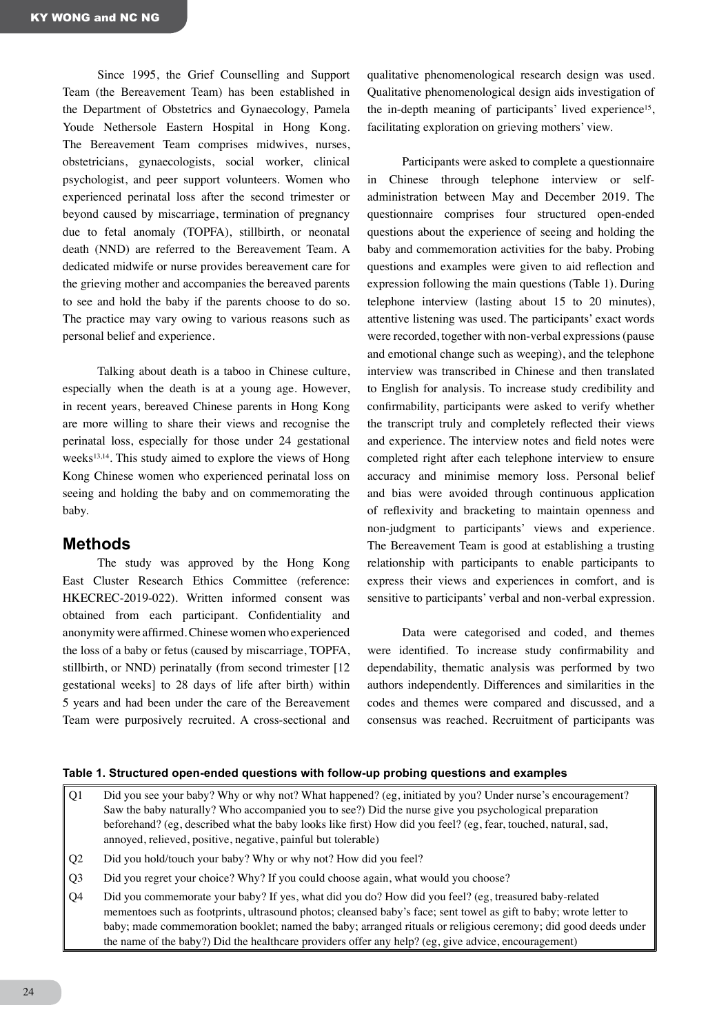Since 1995, the Grief Counselling and Support Team (the Bereavement Team) has been established in the Department of Obstetrics and Gynaecology, Pamela Youde Nethersole Eastern Hospital in Hong Kong. The Bereavement Team comprises midwives, nurses, obstetricians, gynaecologists, social worker, clinical psychologist, and peer support volunteers. Women who experienced perinatal loss after the second trimester or beyond caused by miscarriage, termination of pregnancy due to fetal anomaly (TOPFA), stillbirth, or neonatal death (NND) are referred to the Bereavement Team. A dedicated midwife or nurse provides bereavement care for the grieving mother and accompanies the bereaved parents to see and hold the baby if the parents choose to do so. The practice may vary owing to various reasons such as personal belief and experience.

Talking about death is a taboo in Chinese culture, especially when the death is at a young age. However, in recent years, bereaved Chinese parents in Hong Kong are more willing to share their views and recognise the perinatal loss, especially for those under 24 gestational weeks<sup>13,14</sup>. This study aimed to explore the views of Hong Kong Chinese women who experienced perinatal loss on seeing and holding the baby and on commemorating the baby.

## **Methods**

The study was approved by the Hong Kong East Cluster Research Ethics Committee (reference: HKECREC-2019-022). Written informed consent was obtained from each participant. Confidentiality and anonymity were affirmed. Chinese women who experienced the loss of a baby or fetus (caused by miscarriage, TOPFA, stillbirth, or NND) perinatally (from second trimester [12 gestational weeks] to 28 days of life after birth) within 5 years and had been under the care of the Bereavement Team were purposively recruited. A cross-sectional and

qualitative phenomenological research design was used. Qualitative phenomenological design aids investigation of the in-depth meaning of participants' lived experience<sup>15</sup>, facilitating exploration on grieving mothers' view.

Participants were asked to complete a questionnaire in Chinese through telephone interview or selfadministration between May and December 2019. The questionnaire comprises four structured open-ended questions about the experience of seeing and holding the baby and commemoration activities for the baby. Probing questions and examples were given to aid reflection and expression following the main questions (Table 1). During telephone interview (lasting about 15 to 20 minutes), attentive listening was used. The participants' exact words were recorded, together with non-verbal expressions (pause and emotional change such as weeping), and the telephone interview was transcribed in Chinese and then translated to English for analysis. To increase study credibility and confirmability, participants were asked to verify whether the transcript truly and completely reflected their views and experience. The interview notes and field notes were completed right after each telephone interview to ensure accuracy and minimise memory loss. Personal belief and bias were avoided through continuous application of reflexivity and bracketing to maintain openness and non-judgment to participants' views and experience. The Bereavement Team is good at establishing a trusting relationship with participants to enable participants to express their views and experiences in comfort, and is sensitive to participants' verbal and non-verbal expression.

Data were categorised and coded, and themes were identified. To increase study confirmability and dependability, thematic analysis was performed by two authors independently. Differences and similarities in the codes and themes were compared and discussed, and a consensus was reached. Recruitment of participants was

#### **Table 1. Structured open-ended questions with follow-up probing questions and examples**

- Q1 Did you see your baby? Why or why not? What happened? (eg, initiated by you? Under nurse's encouragement? Saw the baby naturally? Who accompanied you to see?) Did the nurse give you psychological preparation beforehand? (eg, described what the baby looks like first) How did you feel? (eg, fear, touched, natural, sad, annoyed, relieved, positive, negative, painful but tolerable)
- Q2 Did you hold/touch your baby? Why or why not? How did you feel?
- Q3 Did you regret your choice? Why? If you could choose again, what would you choose?
- Q4 Did you commemorate your baby? If yes, what did you do? How did you feel? (eg, treasured baby-related mementoes such as footprints, ultrasound photos; cleansed baby's face; sent towel as gift to baby; wrote letter to baby; made commemoration booklet; named the baby; arranged rituals or religious ceremony; did good deeds under the name of the baby?) Did the healthcare providers offer any help? (eg, give advice, encouragement)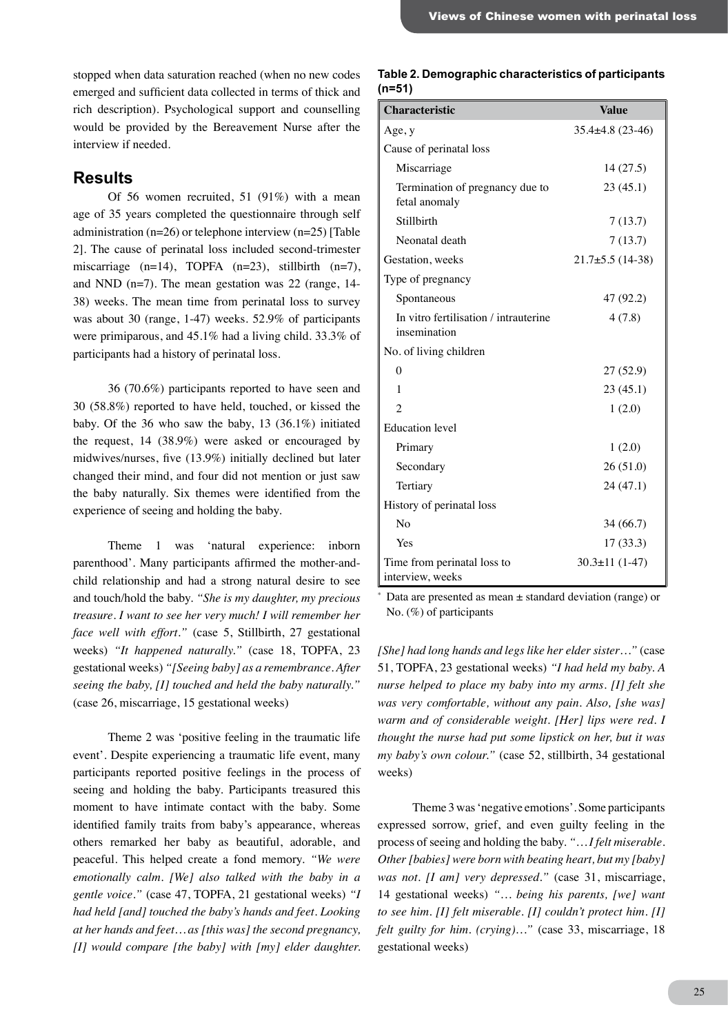stopped when data saturation reached (when no new codes emerged and sufficient data collected in terms of thick and rich description). Psychological support and counselling would be provided by the Bereavement Nurse after the interview if needed.

# **Results**

Of 56 women recruited, 51 (91%) with a mean age of 35 years completed the questionnaire through self administration ( $n=26$ ) or telephone interview ( $n=25$ ) [Table 2]. The cause of perinatal loss included second-trimester miscarriage  $(n=14)$ , TOPFA  $(n=23)$ , stillbirth  $(n=7)$ , and NND (n=7). The mean gestation was 22 (range, 14- 38) weeks. The mean time from perinatal loss to survey was about 30 (range, 1-47) weeks. 52.9% of participants were primiparous, and 45.1% had a living child. 33.3% of participants had a history of perinatal loss.

36 (70.6%) participants reported to have seen and 30 (58.8%) reported to have held, touched, or kissed the baby. Of the 36 who saw the baby, 13 (36.1%) initiated the request, 14 (38.9%) were asked or encouraged by midwives/nurses, five (13.9%) initially declined but later changed their mind, and four did not mention or just saw the baby naturally. Six themes were identified from the experience of seeing and holding the baby.

Theme 1 was 'natural experience: inborn parenthood'. Many participants affirmed the mother-andchild relationship and had a strong natural desire to see and touch/hold the baby. *"She is my daughter, my precious treasure. I want to see her very much! I will remember her face well with effort."* (case 5, Stillbirth, 27 gestational weeks) *"It happened naturally."* (case 18, TOPFA, 23 gestational weeks) *"[Seeing baby] as a remembrance. After seeing the baby, [I] touched and held the baby naturally."* (case 26, miscarriage, 15 gestational weeks)

Theme 2 was 'positive feeling in the traumatic life event'. Despite experiencing a traumatic life event, many participants reported positive feelings in the process of seeing and holding the baby. Participants treasured this moment to have intimate contact with the baby. Some identified family traits from baby's appearance, whereas others remarked her baby as beautiful, adorable, and peaceful. This helped create a fond memory. *"We were emotionally calm. [We] also talked with the baby in a gentle voice."* (case 47, TOPFA, 21 gestational weeks) *"I had held [and] touched the baby's hands and feet. Looking at her hands and feet… as [this was] the second pregnancy, [I] would compare [the baby] with [my] elder daughter.* 

#### **Table 2. Demographic characteristics of participants (n=51)**

| <b>Characteristic</b>                                 | <b>Value</b>        |
|-------------------------------------------------------|---------------------|
| Age, y                                                | $35.4\pm4.8(23-46)$ |
| Cause of perinatal loss                               |                     |
| Miscarriage                                           | 14(27.5)            |
| Termination of pregnancy due to<br>fetal anomaly      | 23(45.1)            |
| Stillbirth                                            | 7(13.7)             |
| Neonatal death                                        | 7(13.7)             |
| Gestation, weeks                                      | $21.7\pm5.5(14-38)$ |
| Type of pregnancy                                     |                     |
| Spontaneous                                           | 47 (92.2)           |
| In vitro fertilisation / intrauterine<br>insemination | 4(7.8)              |
| No. of living children                                |                     |
| $\theta$                                              | 27 (52.9)           |
| 1                                                     | 23(45.1)            |
| $\mathfrak{D}$                                        | 1(2.0)              |
| <b>Education</b> level                                |                     |
| Primary                                               | 1(2.0)              |
| Secondary                                             | 26 (51.0)           |
| Tertiary                                              | 24 (47.1)           |
| History of perinatal loss                             |                     |
| N <sub>0</sub>                                        | 34 (66.7)           |
| Yes                                                   | 17(33.3)            |
| Time from perinatal loss to<br>interview, weeks       | $30.3 \pm 11(1-47)$ |

Data are presented as mean  $\pm$  standard deviation (range) or No. (%) of participants

*[She] had long hands and legs like her elder sister…"* (case 51, TOPFA, 23 gestational weeks) *"I had held my baby. A nurse helped to place my baby into my arms. [I] felt she was very comfortable, without any pain. Also, [she was] warm and of considerable weight. [Her] lips were red. I thought the nurse had put some lipstick on her, but it was my baby's own colour."* (case 52, stillbirth, 34 gestational weeks)

Theme 3 was 'negative emotions'. Some participants expressed sorrow, grief, and even guilty feeling in the process of seeing and holding the baby. *"… I felt miserable. Other [babies] were born with beating heart, but my [baby] was not. [I am] very depressed."* (case 31, miscarriage, 14 gestational weeks) *"… being his parents, [we] want to see him. [I] felt miserable. [I] couldn't protect him. [I] felt guilty for him. (crying)…"* (case 33, miscarriage, 18 gestational weeks)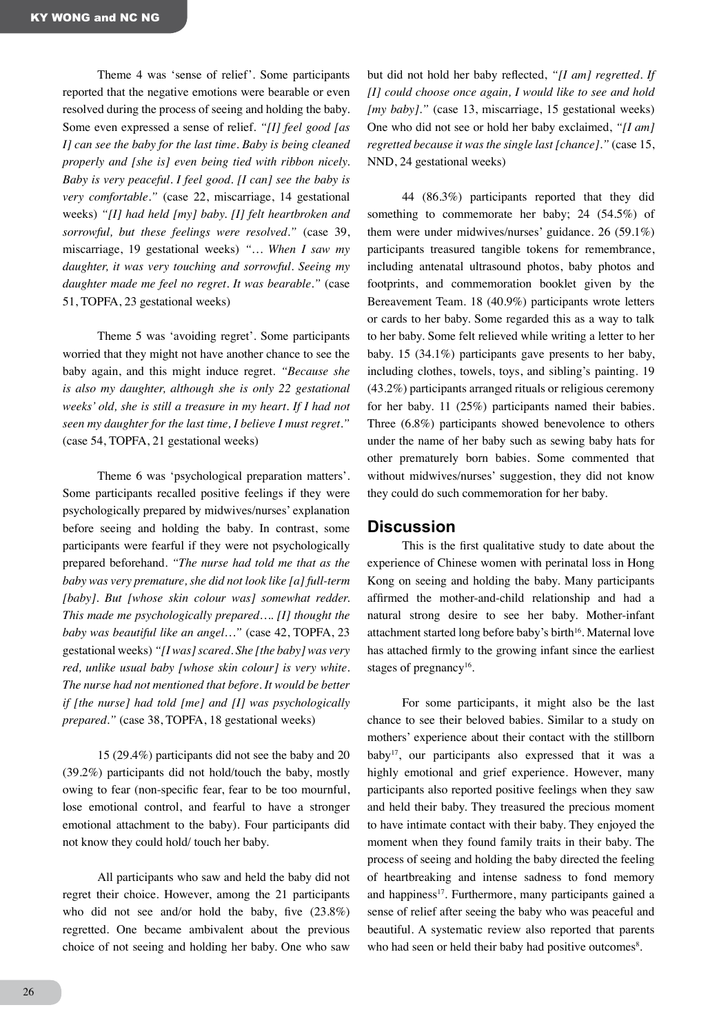Theme 4 was 'sense of relief'. Some participants reported that the negative emotions were bearable or even resolved during the process of seeing and holding the baby. Some even expressed a sense of relief. *"[I] feel good [as I] can see the baby for the last time. Baby is being cleaned properly and [she is] even being tied with ribbon nicely. Baby is very peaceful. I feel good. [I can] see the baby is very comfortable."* (case 22, miscarriage, 14 gestational weeks) *"[I] had held [my] baby. [I] felt heartbroken and sorrowful, but these feelings were resolved."* (case 39, miscarriage, 19 gestational weeks) *"… When I saw my daughter, it was very touching and sorrowful. Seeing my daughter made me feel no regret. It was bearable."* (case 51, TOPFA, 23 gestational weeks)

Theme 5 was 'avoiding regret'. Some participants worried that they might not have another chance to see the baby again, and this might induce regret. *"Because she is also my daughter, although she is only 22 gestational weeks' old, she is still a treasure in my heart. If I had not seen my daughter for the last time, I believe I must regret."* (case 54, TOPFA, 21 gestational weeks)

Theme 6 was 'psychological preparation matters'. Some participants recalled positive feelings if they were psychologically prepared by midwives/nurses' explanation before seeing and holding the baby. In contrast, some participants were fearful if they were not psychologically prepared beforehand. *"The nurse had told me that as the baby was very premature, she did not look like [a] full-term [baby]. But [whose skin colour was] somewhat redder. This made me psychologically prepared…. [I] thought the baby was beautiful like an angel…"* (case 42, TOPFA, 23 gestational weeks) *"[I was] scared. She [the baby] was very red, unlike usual baby [whose skin colour] is very white. The nurse had not mentioned that before. It would be better if [the nurse] had told [me] and [I] was psychologically prepared."* (case 38, TOPFA, 18 gestational weeks)

15 (29.4%) participants did not see the baby and 20 (39.2%) participants did not hold/touch the baby, mostly owing to fear (non-specific fear, fear to be too mournful, lose emotional control, and fearful to have a stronger emotional attachment to the baby). Four participants did not know they could hold/ touch her baby.

All participants who saw and held the baby did not regret their choice. However, among the 21 participants who did not see and/or hold the baby, five (23.8%) regretted. One became ambivalent about the previous choice of not seeing and holding her baby. One who saw

but did not hold her baby reflected, *"[I am] regretted. If [I] could choose once again, I would like to see and hold [my baby]."* (case 13, miscarriage, 15 gestational weeks) One who did not see or hold her baby exclaimed, *"[I am] regretted because it was the single last [chance]."* (case 15, NND, 24 gestational weeks)

44 (86.3%) participants reported that they did something to commemorate her baby; 24 (54.5%) of them were under midwives/nurses' guidance. 26 (59.1%) participants treasured tangible tokens for remembrance, including antenatal ultrasound photos, baby photos and footprints, and commemoration booklet given by the Bereavement Team. 18 (40.9%) participants wrote letters or cards to her baby. Some regarded this as a way to talk to her baby. Some felt relieved while writing a letter to her baby. 15 (34.1%) participants gave presents to her baby, including clothes, towels, toys, and sibling's painting. 19 (43.2%) participants arranged rituals or religious ceremony for her baby. 11 (25%) participants named their babies. Three (6.8%) participants showed benevolence to others under the name of her baby such as sewing baby hats for other prematurely born babies. Some commented that without midwives/nurses' suggestion, they did not know they could do such commemoration for her baby.

## **Discussion**

This is the first qualitative study to date about the experience of Chinese women with perinatal loss in Hong Kong on seeing and holding the baby. Many participants affirmed the mother-and-child relationship and had a natural strong desire to see her baby. Mother-infant attachment started long before baby's birth<sup>16</sup>. Maternal love has attached firmly to the growing infant since the earliest stages of pregnancy<sup>16</sup>.

For some participants, it might also be the last chance to see their beloved babies. Similar to a study on mothers' experience about their contact with the stillborn baby<sup>17</sup>, our participants also expressed that it was a highly emotional and grief experience. However, many participants also reported positive feelings when they saw and held their baby. They treasured the precious moment to have intimate contact with their baby. They enjoyed the moment when they found family traits in their baby. The process of seeing and holding the baby directed the feeling of heartbreaking and intense sadness to fond memory and happiness $17$ . Furthermore, many participants gained a sense of relief after seeing the baby who was peaceful and beautiful. A systematic review also reported that parents who had seen or held their baby had positive outcomes<sup>8</sup>.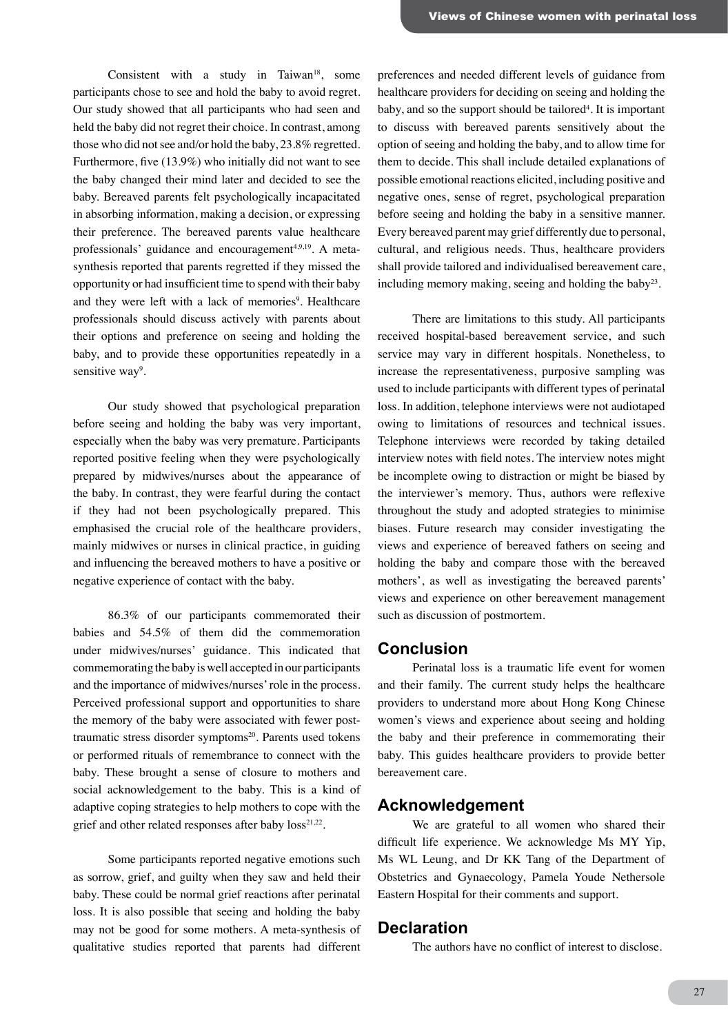Consistent with a study in Taiwan<sup>18</sup>, some participants chose to see and hold the baby to avoid regret. Our study showed that all participants who had seen and held the baby did not regret their choice. In contrast, among those who did not see and/or hold the baby, 23.8% regretted. Furthermore, five (13.9%) who initially did not want to see the baby changed their mind later and decided to see the baby. Bereaved parents felt psychologically incapacitated in absorbing information, making a decision, or expressing their preference. The bereaved parents value healthcare professionals' guidance and encouragement<sup>4,9,19</sup>. A metasynthesis reported that parents regretted if they missed the opportunity or had insufficient time to spend with their baby and they were left with a lack of memories<sup>9</sup>. Healthcare professionals should discuss actively with parents about their options and preference on seeing and holding the baby, and to provide these opportunities repeatedly in a sensitive way<sup>9</sup>.

Our study showed that psychological preparation before seeing and holding the baby was very important, especially when the baby was very premature. Participants reported positive feeling when they were psychologically prepared by midwives/nurses about the appearance of the baby. In contrast, they were fearful during the contact if they had not been psychologically prepared. This emphasised the crucial role of the healthcare providers, mainly midwives or nurses in clinical practice, in guiding and influencing the bereaved mothers to have a positive or negative experience of contact with the baby.

86.3% of our participants commemorated their babies and 54.5% of them did the commemoration under midwives/nurses' guidance. This indicated that commemorating the baby is well accepted in our participants and the importance of midwives/nurses' role in the process. Perceived professional support and opportunities to share the memory of the baby were associated with fewer posttraumatic stress disorder symptoms<sup>20</sup>. Parents used tokens or performed rituals of remembrance to connect with the baby. These brought a sense of closure to mothers and social acknowledgement to the baby. This is a kind of adaptive coping strategies to help mothers to cope with the grief and other related responses after baby  $loss^{21,22}$ .

Some participants reported negative emotions such as sorrow, grief, and guilty when they saw and held their baby. These could be normal grief reactions after perinatal loss. It is also possible that seeing and holding the baby may not be good for some mothers. A meta-synthesis of qualitative studies reported that parents had different

preferences and needed different levels of guidance from healthcare providers for deciding on seeing and holding the baby, and so the support should be tailored<sup>4</sup>. It is important to discuss with bereaved parents sensitively about the option of seeing and holding the baby, and to allow time for them to decide. This shall include detailed explanations of possible emotional reactions elicited, including positive and negative ones, sense of regret, psychological preparation before seeing and holding the baby in a sensitive manner. Every bereaved parent may grief differently due to personal, cultural, and religious needs. Thus, healthcare providers shall provide tailored and individualised bereavement care, including memory making, seeing and holding the baby<sup>23</sup>.

There are limitations to this study. All participants received hospital-based bereavement service, and such service may vary in different hospitals. Nonetheless, to increase the representativeness, purposive sampling was used to include participants with different types of perinatal loss. In addition, telephone interviews were not audiotaped owing to limitations of resources and technical issues. Telephone interviews were recorded by taking detailed interview notes with field notes. The interview notes might be incomplete owing to distraction or might be biased by the interviewer's memory. Thus, authors were reflexive throughout the study and adopted strategies to minimise biases. Future research may consider investigating the views and experience of bereaved fathers on seeing and holding the baby and compare those with the bereaved mothers', as well as investigating the bereaved parents' views and experience on other bereavement management such as discussion of postmortem.

## **Conclusion**

Perinatal loss is a traumatic life event for women and their family. The current study helps the healthcare providers to understand more about Hong Kong Chinese women's views and experience about seeing and holding the baby and their preference in commemorating their baby. This guides healthcare providers to provide better bereavement care.

## **Acknowledgement**

We are grateful to all women who shared their difficult life experience. We acknowledge Ms MY Yip, Ms WL Leung, and Dr KK Tang of the Department of Obstetrics and Gynaecology, Pamela Youde Nethersole Eastern Hospital for their comments and support.

#### **Declaration**

The authors have no conflict of interest to disclose.